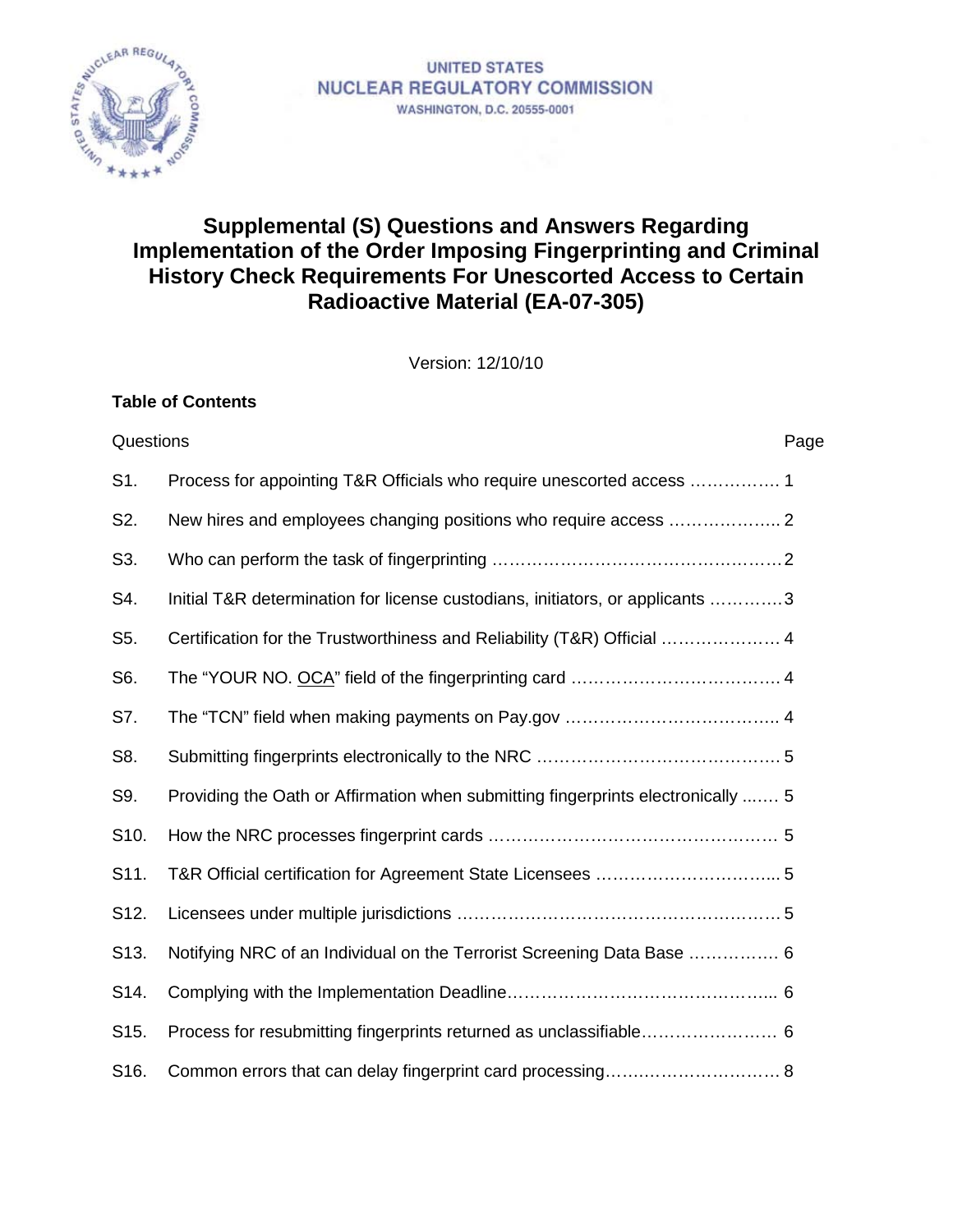

**Table of Contents**

# **Supplemental (S) Questions and Answers Regarding Implementation of the Order Imposing Fingerprinting and Criminal History Check Requirements For Unescorted Access to Certain Radioactive Material (EA-07-305)**

Version: 12/10/10

| Questions         |                                                                                  | Page |
|-------------------|----------------------------------------------------------------------------------|------|
| S1.               | Process for appointing T&R Officials who require unescorted access  1            |      |
| S2.               |                                                                                  |      |
| S3.               |                                                                                  |      |
| S4.               | Initial T&R determination for license custodians, initiators, or applicants 3    |      |
| S5.               | Certification for the Trustworthiness and Reliability (T&R) Official  4          |      |
| S6.               |                                                                                  |      |
| S7.               |                                                                                  |      |
| S8.               |                                                                                  |      |
| S9.               | Providing the Oath or Affirmation when submitting fingerprints electronically  5 |      |
| S <sub>10</sub> . |                                                                                  |      |
| S11.              |                                                                                  |      |
| S12.              |                                                                                  |      |
| S <sub>13</sub> . | Notifying NRC of an Individual on the Terrorist Screening Data Base  6           |      |
| S14.              |                                                                                  |      |
| S <sub>15</sub> . |                                                                                  |      |
| S16.              |                                                                                  |      |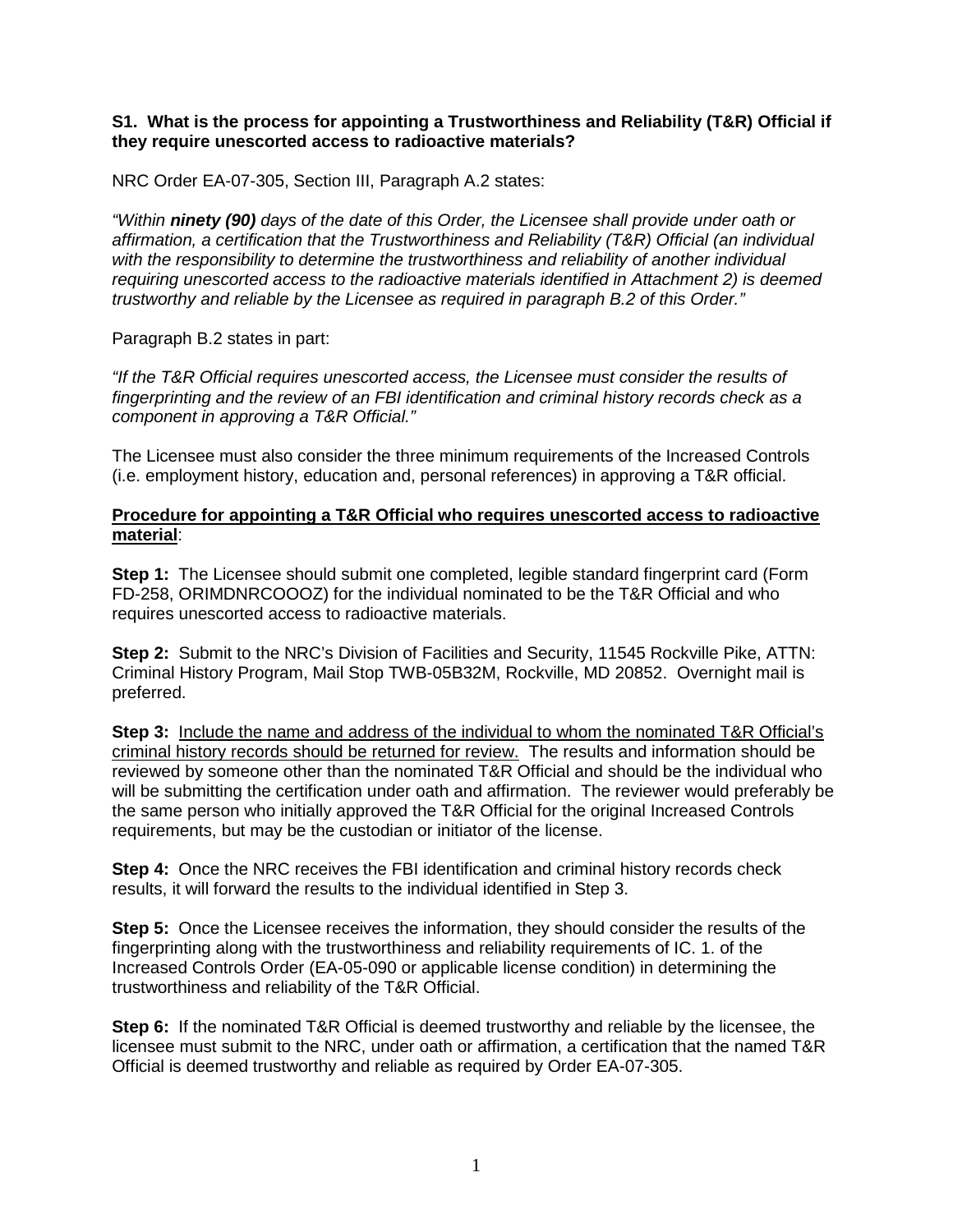#### **S1. What is the process for appointing a Trustworthiness and Reliability (T&R) Official if they require unescorted access to radioactive materials?**

NRC Order EA-07-305, Section III, Paragraph A.2 states:

*"Within ninety (90) days of the date of this Order, the Licensee shall provide under oath or affirmation, a certification that the Trustworthiness and Reliability (T&R) Official (an individual with the responsibility to determine the trustworthiness and reliability of another individual requiring unescorted access to the radioactive materials identified in Attachment 2) is deemed trustworthy and reliable by the Licensee as required in paragraph B.2 of this Order."* 

Paragraph B.2 states in part:

*"If the T&R Official requires unescorted access, the Licensee must consider the results of fingerprinting and the review of an FBI identification and criminal history records check as a component in approving a T&R Official."*

The Licensee must also consider the three minimum requirements of the Increased Controls (i.e. employment history, education and, personal references) in approving a T&R official.

#### **Procedure for appointing a T&R Official who requires unescorted access to radioactive material**:

**Step 1:** The Licensee should submit one completed, legible standard fingerprint card (Form FD-258, ORIMDNRCOOOZ) for the individual nominated to be the T&R Official and who requires unescorted access to radioactive materials.

**Step 2:** Submit to the NRC's Division of Facilities and Security, 11545 Rockville Pike, ATTN: Criminal History Program, Mail Stop TWB-05B32M, Rockville, MD 20852. Overnight mail is preferred.

**Step 3:** Include the name and address of the individual to whom the nominated T&R Official's criminal history records should be returned for review. The results and information should be reviewed by someone other than the nominated T&R Official and should be the individual who will be submitting the certification under oath and affirmation. The reviewer would preferably be the same person who initially approved the T&R Official for the original Increased Controls requirements, but may be the custodian or initiator of the license.

**Step 4:** Once the NRC receives the FBI identification and criminal history records check results, it will forward the results to the individual identified in Step 3.

**Step 5:** Once the Licensee receives the information, they should consider the results of the fingerprinting along with the trustworthiness and reliability requirements of IC. 1. of the Increased Controls Order (EA-05-090 or applicable license condition) in determining the trustworthiness and reliability of the T&R Official.

**Step 6:** If the nominated T&R Official is deemed trustworthy and reliable by the licensee, the licensee must submit to the NRC, under oath or affirmation, a certification that the named T&R Official is deemed trustworthy and reliable as required by Order EA-07-305.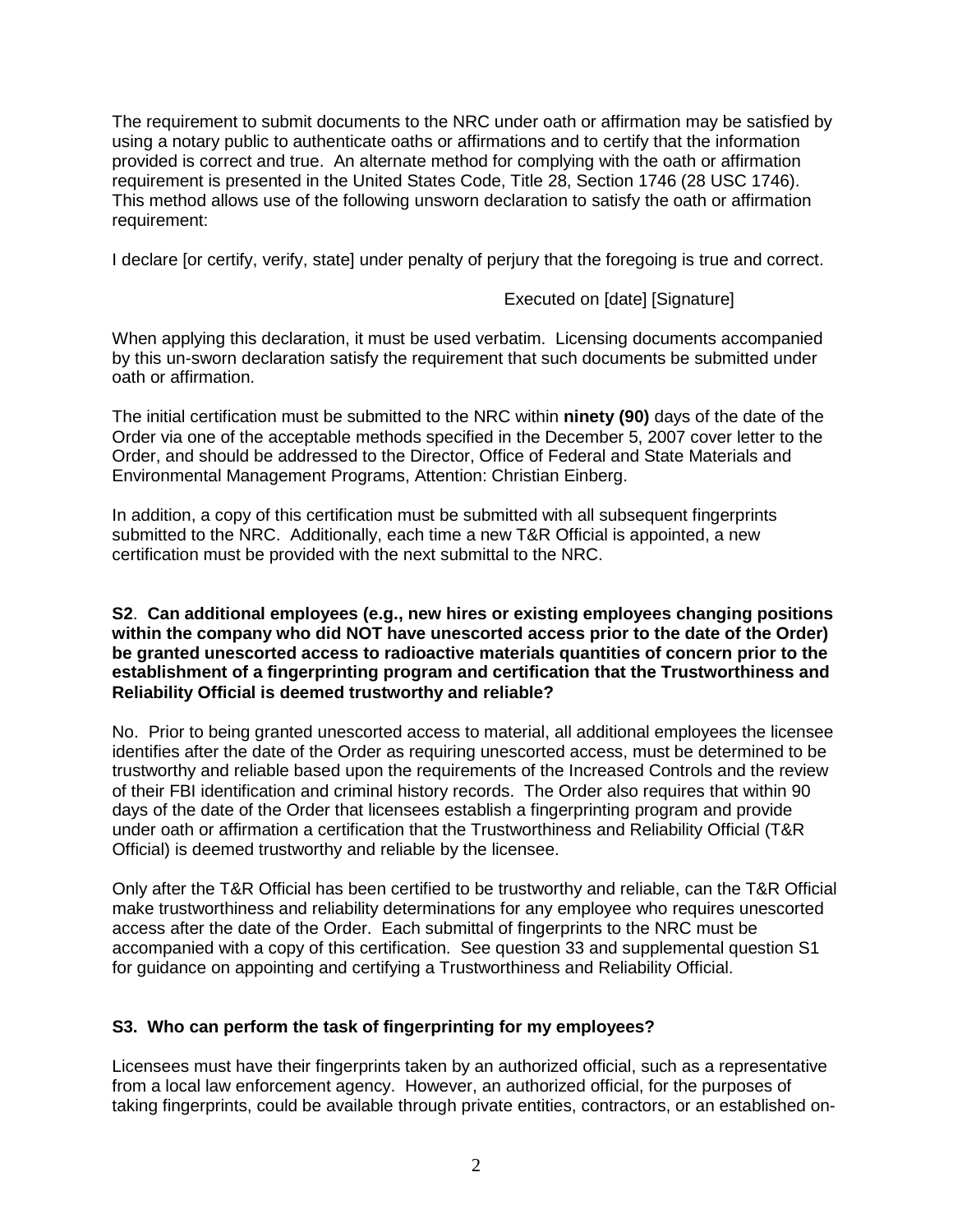The requirement to submit documents to the NRC under oath or affirmation may be satisfied by using a notary public to authenticate oaths or affirmations and to certify that the information provided is correct and true. An alternate method for complying with the oath or affirmation requirement is presented in the United States Code, Title 28, Section 1746 (28 USC 1746). This method allows use of the following unsworn declaration to satisfy the oath or affirmation requirement:

I declare [or certify, verify, state] under penalty of perjury that the foregoing is true and correct.

# Executed on [date] [Signature]

When applying this declaration, it must be used verbatim. Licensing documents accompanied by this un-sworn declaration satisfy the requirement that such documents be submitted under oath or affirmation.

The initial certification must be submitted to the NRC within **ninety (90)** days of the date of the Order via one of the acceptable methods specified in the December 5, 2007 cover letter to the Order, and should be addressed to the Director, Office of Federal and State Materials and Environmental Management Programs, Attention: Christian Einberg.

In addition, a copy of this certification must be submitted with all subsequent fingerprints submitted to the NRC. Additionally, each time a new T&R Official is appointed, a new certification must be provided with the next submittal to the NRC.

#### **S2**. **Can additional employees (e.g., new hires or existing employees changing positions within the company who did NOT have unescorted access prior to the date of the Order) be granted unescorted access to radioactive materials quantities of concern prior to the establishment of a fingerprinting program and certification that the Trustworthiness and Reliability Official is deemed trustworthy and reliable?**

No. Prior to being granted unescorted access to material, all additional employees the licensee identifies after the date of the Order as requiring unescorted access, must be determined to be trustworthy and reliable based upon the requirements of the Increased Controls and the review of their FBI identification and criminal history records. The Order also requires that within 90 days of the date of the Order that licensees establish a fingerprinting program and provide under oath or affirmation a certification that the Trustworthiness and Reliability Official (T&R Official) is deemed trustworthy and reliable by the licensee.

Only after the T&R Official has been certified to be trustworthy and reliable, can the T&R Official make trustworthiness and reliability determinations for any employee who requires unescorted access after the date of the Order. Each submittal of fingerprints to the NRC must be accompanied with a copy of this certification. See question 33 and supplemental question S1 for guidance on appointing and certifying a Trustworthiness and Reliability Official.

## **S3. Who can perform the task of fingerprinting for my employees?**

Licensees must have their fingerprints taken by an authorized official, such as a representative from a local law enforcement agency. However, an authorized official, for the purposes of taking fingerprints, could be available through private entities, contractors, or an established on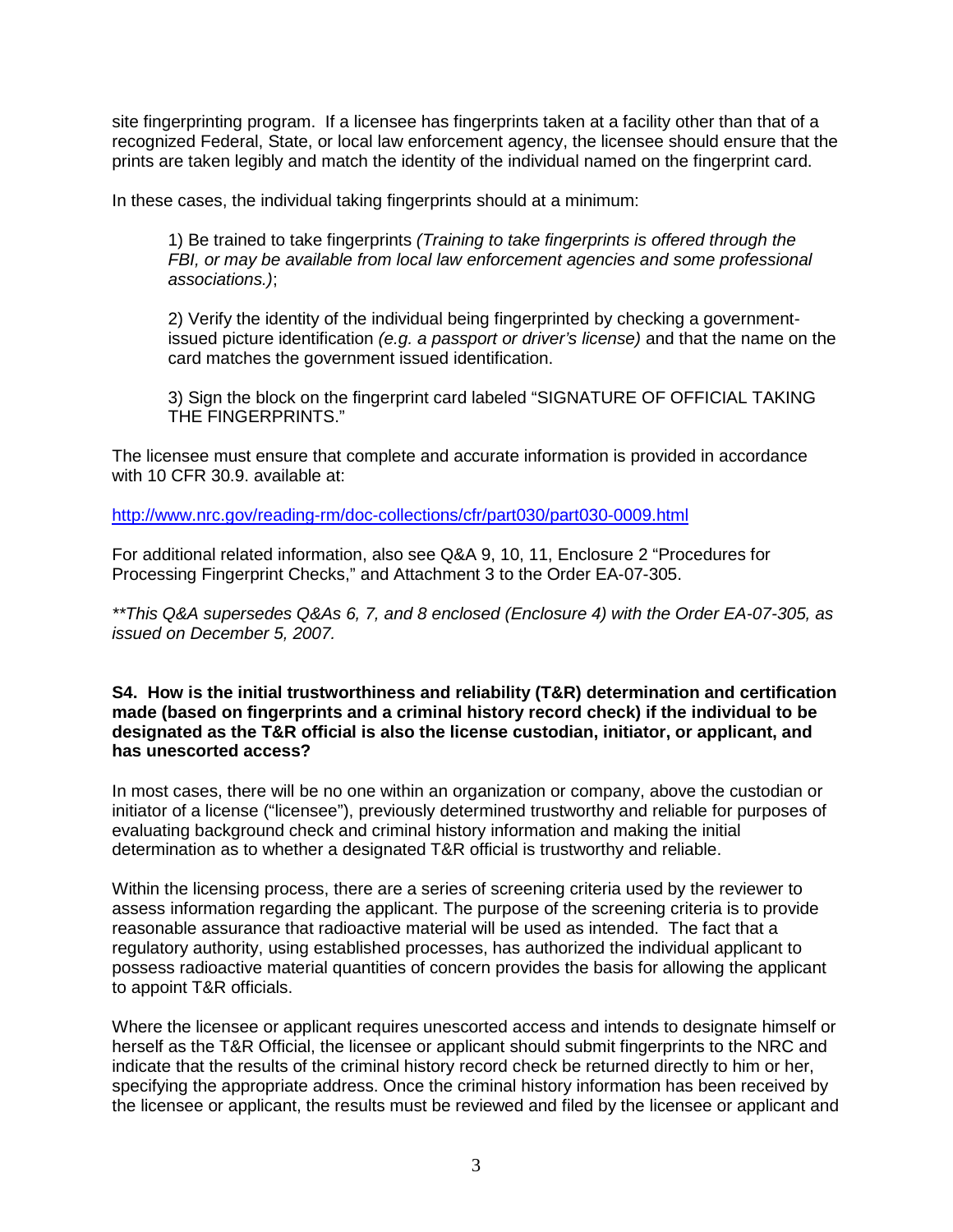site fingerprinting program. If a licensee has fingerprints taken at a facility other than that of a recognized Federal, State, or local law enforcement agency, the licensee should ensure that the prints are taken legibly and match the identity of the individual named on the fingerprint card.

In these cases, the individual taking fingerprints should at a minimum:

1) Be trained to take fingerprints *(Training to take fingerprints is offered through the FBI, or may be available from local law enforcement agencies and some professional associations.)*;

2) Verify the identity of the individual being fingerprinted by checking a governmentissued picture identification *(e.g. a passport or driver's license)* and that the name on the card matches the government issued identification.

3) Sign the block on the fingerprint card labeled "SIGNATURE OF OFFICIAL TAKING THE FINGERPRINTS."

The licensee must ensure that complete and accurate information is provided in accordance with 10 CFR 30.9. available at:

<http://www.nrc.gov/reading-rm/doc-collections/cfr/part030/part030-0009.html>

For additional related information, also see Q&A 9, 10, 11, Enclosure 2 "Procedures for Processing Fingerprint Checks," and Attachment 3 to the Order EA-07-305.

*\*\*This Q&A supersedes Q&As 6, 7, and 8 enclosed (Enclosure 4) with the Order EA-07-305, as issued on December 5, 2007.* 

**S4. How is the initial trustworthiness and reliability (T&R) determination and certification made (based on fingerprints and a criminal history record check) if the individual to be designated as the T&R official is also the license custodian, initiator, or applicant, and has unescorted access?**

In most cases, there will be no one within an organization or company, above the custodian or initiator of a license ("licensee"), previously determined trustworthy and reliable for purposes of evaluating background check and criminal history information and making the initial determination as to whether a designated T&R official is trustworthy and reliable.

Within the licensing process, there are a series of screening criteria used by the reviewer to assess information regarding the applicant. The purpose of the screening criteria is to provide reasonable assurance that radioactive material will be used as intended. The fact that a regulatory authority, using established processes, has authorized the individual applicant to possess radioactive material quantities of concern provides the basis for allowing the applicant to appoint T&R officials.

Where the licensee or applicant requires unescorted access and intends to designate himself or herself as the T&R Official, the licensee or applicant should submit fingerprints to the NRC and indicate that the results of the criminal history record check be returned directly to him or her, specifying the appropriate address. Once the criminal history information has been received by the licensee or applicant, the results must be reviewed and filed by the licensee or applicant and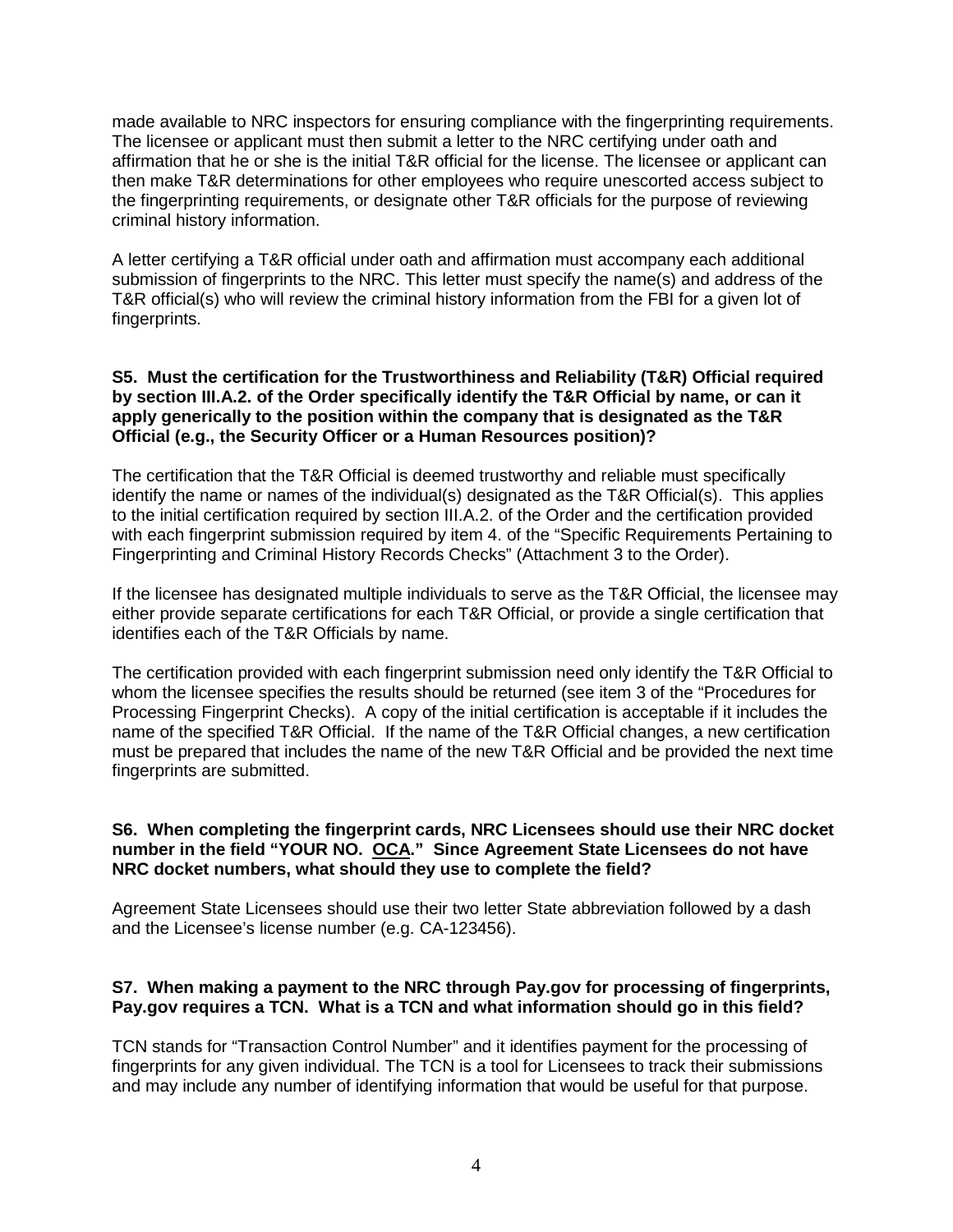made available to NRC inspectors for ensuring compliance with the fingerprinting requirements. The licensee or applicant must then submit a letter to the NRC certifying under oath and affirmation that he or she is the initial T&R official for the license. The licensee or applicant can then make T&R determinations for other employees who require unescorted access subject to the fingerprinting requirements, or designate other T&R officials for the purpose of reviewing criminal history information.

A letter certifying a T&R official under oath and affirmation must accompany each additional submission of fingerprints to the NRC. This letter must specify the name(s) and address of the T&R official(s) who will review the criminal history information from the FBI for a given lot of fingerprints.

#### **S5. Must the certification for the Trustworthiness and Reliability (T&R) Official required by section III.A.2. of the Order specifically identify the T&R Official by name, or can it apply generically to the position within the company that is designated as the T&R Official (e.g., the Security Officer or a Human Resources position)?**

The certification that the T&R Official is deemed trustworthy and reliable must specifically identify the name or names of the individual(s) designated as the T&R Official(s). This applies to the initial certification required by section III.A.2. of the Order and the certification provided with each fingerprint submission required by item 4. of the "Specific Requirements Pertaining to Fingerprinting and Criminal History Records Checks" (Attachment 3 to the Order).

If the licensee has designated multiple individuals to serve as the T&R Official, the licensee may either provide separate certifications for each T&R Official, or provide a single certification that identifies each of the T&R Officials by name.

The certification provided with each fingerprint submission need only identify the T&R Official to whom the licensee specifies the results should be returned (see item 3 of the "Procedures for Processing Fingerprint Checks). A copy of the initial certification is acceptable if it includes the name of the specified T&R Official. If the name of the T&R Official changes, a new certification must be prepared that includes the name of the new T&R Official and be provided the next time fingerprints are submitted.

#### **S6. When completing the fingerprint cards, NRC Licensees should use their NRC docket number in the field "YOUR NO. OCA." Since Agreement State Licensees do not have NRC docket numbers, what should they use to complete the field?**

Agreement State Licensees should use their two letter State abbreviation followed by a dash and the Licensee's license number (e.g. CA-123456).

## **S7. When making a payment to the NRC through Pay.gov for processing of fingerprints, Pay.gov requires a TCN. What is a TCN and what information should go in this field?**

TCN stands for "Transaction Control Number" and it identifies payment for the processing of fingerprints for any given individual. The TCN is a tool for Licensees to track their submissions and may include any number of identifying information that would be useful for that purpose.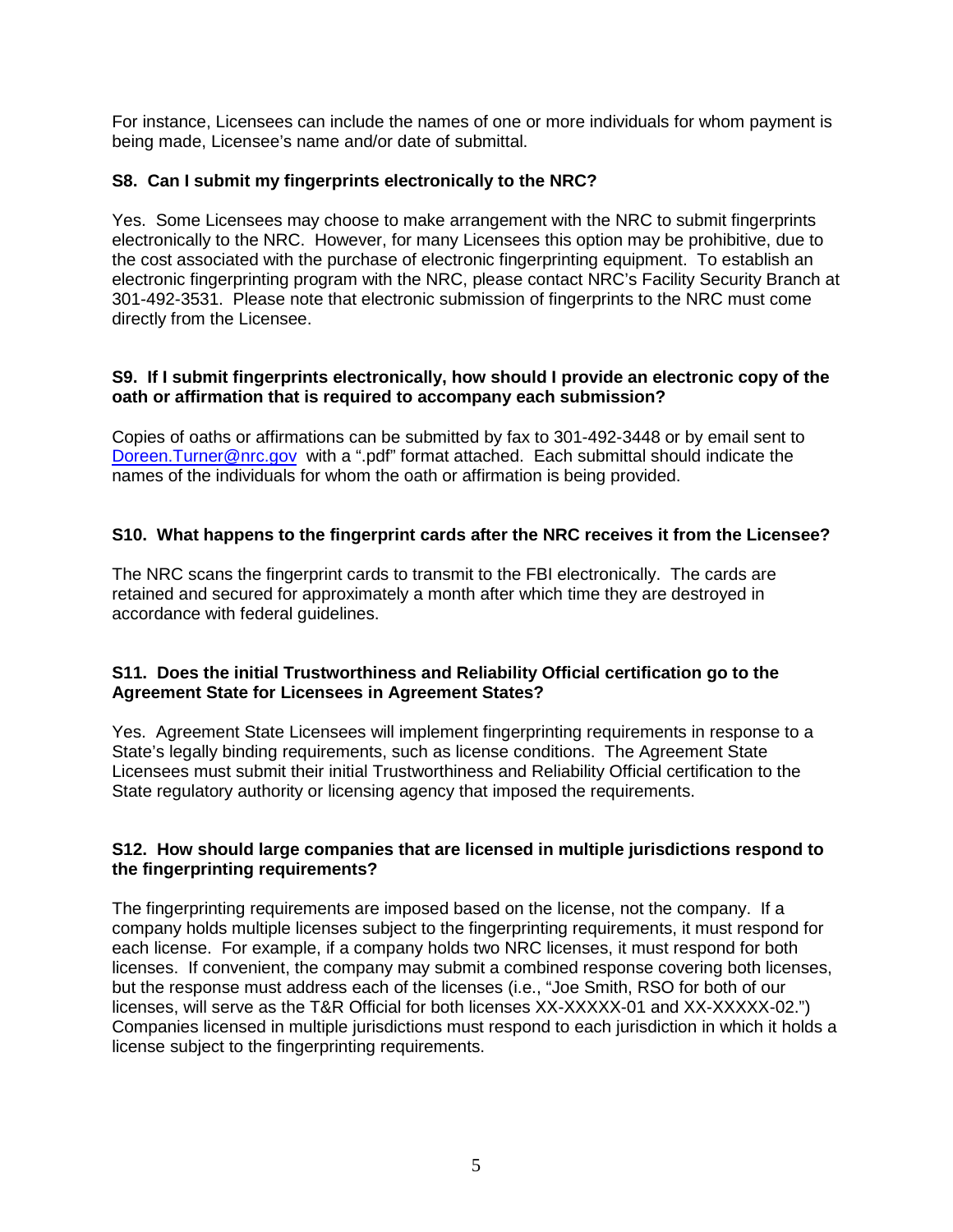For instance, Licensees can include the names of one or more individuals for whom payment is being made, Licensee's name and/or date of submittal.

## **S8. Can I submit my fingerprints electronically to the NRC?**

Yes. Some Licensees may choose to make arrangement with the NRC to submit fingerprints electronically to the NRC. However, for many Licensees this option may be prohibitive, due to the cost associated with the purchase of electronic fingerprinting equipment. To establish an electronic fingerprinting program with the NRC, please contact NRC's Facility Security Branch at 301-492-3531. Please note that electronic submission of fingerprints to the NRC must come directly from the Licensee.

### **S9. If I submit fingerprints electronically, how should I provide an electronic copy of the oath or affirmation that is required to accompany each submission?**

Copies of oaths or affirmations can be submitted by fax to 301-492-3448 or by email sent to [Doreen.Turner@nrc.gov](mailto:Doreen.Turner@nrc.gov) with a ".pdf" format attached. Each submittal should indicate the names of the individuals for whom the oath or affirmation is being provided.

# **S10. What happens to the fingerprint cards after the NRC receives it from the Licensee?**

The NRC scans the fingerprint cards to transmit to the FBI electronically. The cards are retained and secured for approximately a month after which time they are destroyed in accordance with federal guidelines.

## **S11. Does the initial Trustworthiness and Reliability Official certification go to the Agreement State for Licensees in Agreement States?**

Yes. Agreement State Licensees will implement fingerprinting requirements in response to a State's legally binding requirements, such as license conditions. The Agreement State Licensees must submit their initial Trustworthiness and Reliability Official certification to the State regulatory authority or licensing agency that imposed the requirements.

## **S12. How should large companies that are licensed in multiple jurisdictions respond to the fingerprinting requirements?**

The fingerprinting requirements are imposed based on the license, not the company. If a company holds multiple licenses subject to the fingerprinting requirements, it must respond for each license. For example, if a company holds two NRC licenses, it must respond for both licenses. If convenient, the company may submit a combined response covering both licenses, but the response must address each of the licenses (i.e., "Joe Smith, RSO for both of our licenses, will serve as the T&R Official for both licenses XX-XXXXX-01 and XX-XXXXX-02.") Companies licensed in multiple jurisdictions must respond to each jurisdiction in which it holds a license subject to the fingerprinting requirements.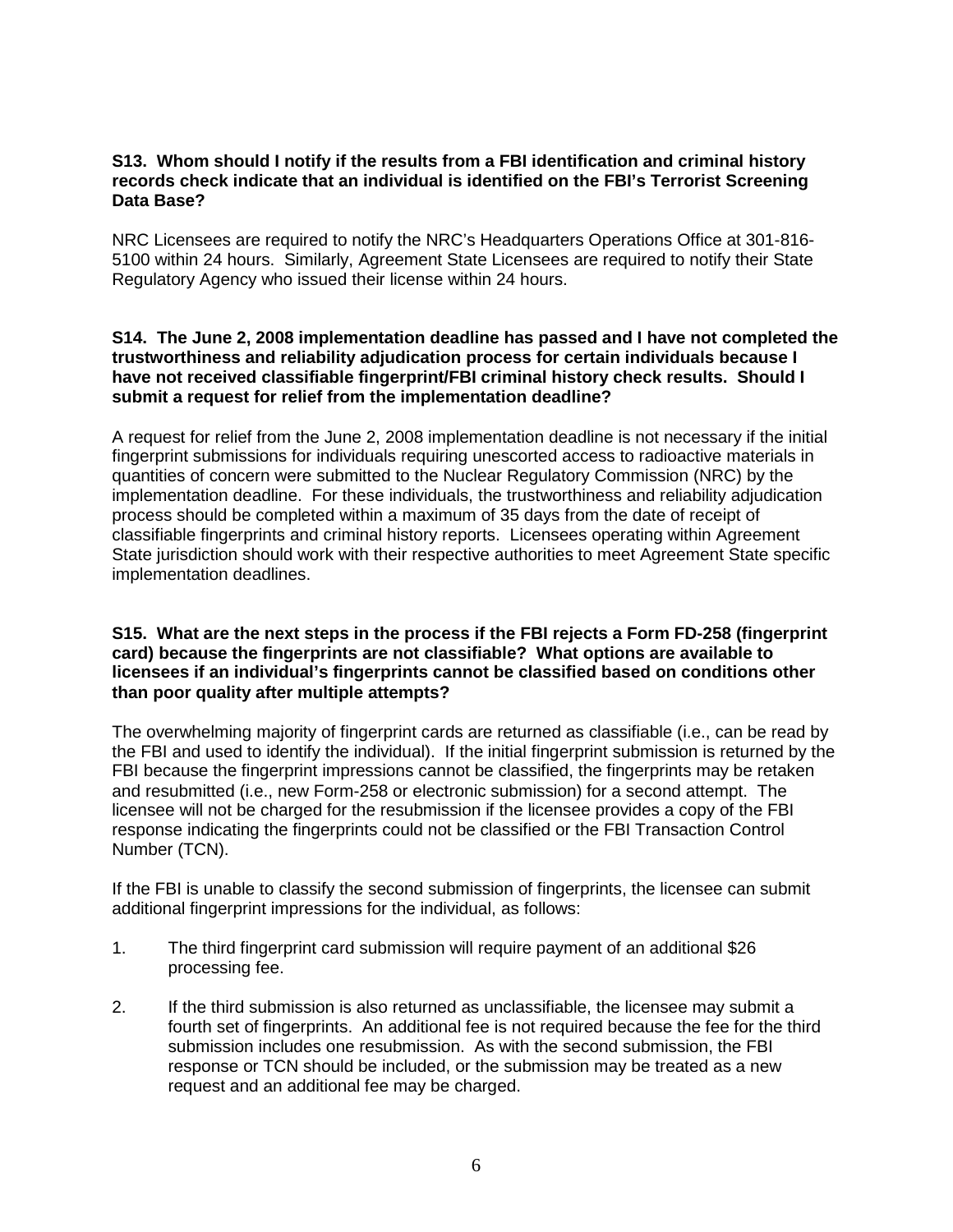### **S13. Whom should I notify if the results from a FBI identification and criminal history records check indicate that an individual is identified on the FBI's Terrorist Screening Data Base?**

NRC Licensees are required to notify the NRC's Headquarters Operations Office at 301-816- 5100 within 24 hours. Similarly, Agreement State Licensees are required to notify their State Regulatory Agency who issued their license within 24 hours.

### **S14. The June 2, 2008 implementation deadline has passed and I have not completed the trustworthiness and reliability adjudication process for certain individuals because I have not received classifiable fingerprint/FBI criminal history check results. Should I submit a request for relief from the implementation deadline?**

A request for relief from the June 2, 2008 implementation deadline is not necessary if the initial fingerprint submissions for individuals requiring unescorted access to radioactive materials in quantities of concern were submitted to the Nuclear Regulatory Commission (NRC) by the implementation deadline. For these individuals, the trustworthiness and reliability adjudication process should be completed within a maximum of 35 days from the date of receipt of classifiable fingerprints and criminal history reports. Licensees operating within Agreement State jurisdiction should work with their respective authorities to meet Agreement State specific implementation deadlines.

#### **S15. What are the next steps in the process if the FBI rejects a Form FD-258 (fingerprint card) because the fingerprints are not classifiable? What options are available to licensees if an individual's fingerprints cannot be classified based on conditions other than poor quality after multiple attempts?**

The overwhelming majority of fingerprint cards are returned as classifiable (i.e., can be read by the FBI and used to identify the individual). If the initial fingerprint submission is returned by the FBI because the fingerprint impressions cannot be classified, the fingerprints may be retaken and resubmitted (i.e., new Form-258 or electronic submission) for a second attempt. The licensee will not be charged for the resubmission if the licensee provides a copy of the FBI response indicating the fingerprints could not be classified or the FBI Transaction Control Number (TCN).

If the FBI is unable to classify the second submission of fingerprints, the licensee can submit additional fingerprint impressions for the individual, as follows:

- 1. The third fingerprint card submission will require payment of an additional \$26 processing fee.
- 2. If the third submission is also returned as unclassifiable, the licensee may submit a fourth set of fingerprints. An additional fee is not required because the fee for the third submission includes one resubmission. As with the second submission, the FBI response or TCN should be included, or the submission may be treated as a new request and an additional fee may be charged.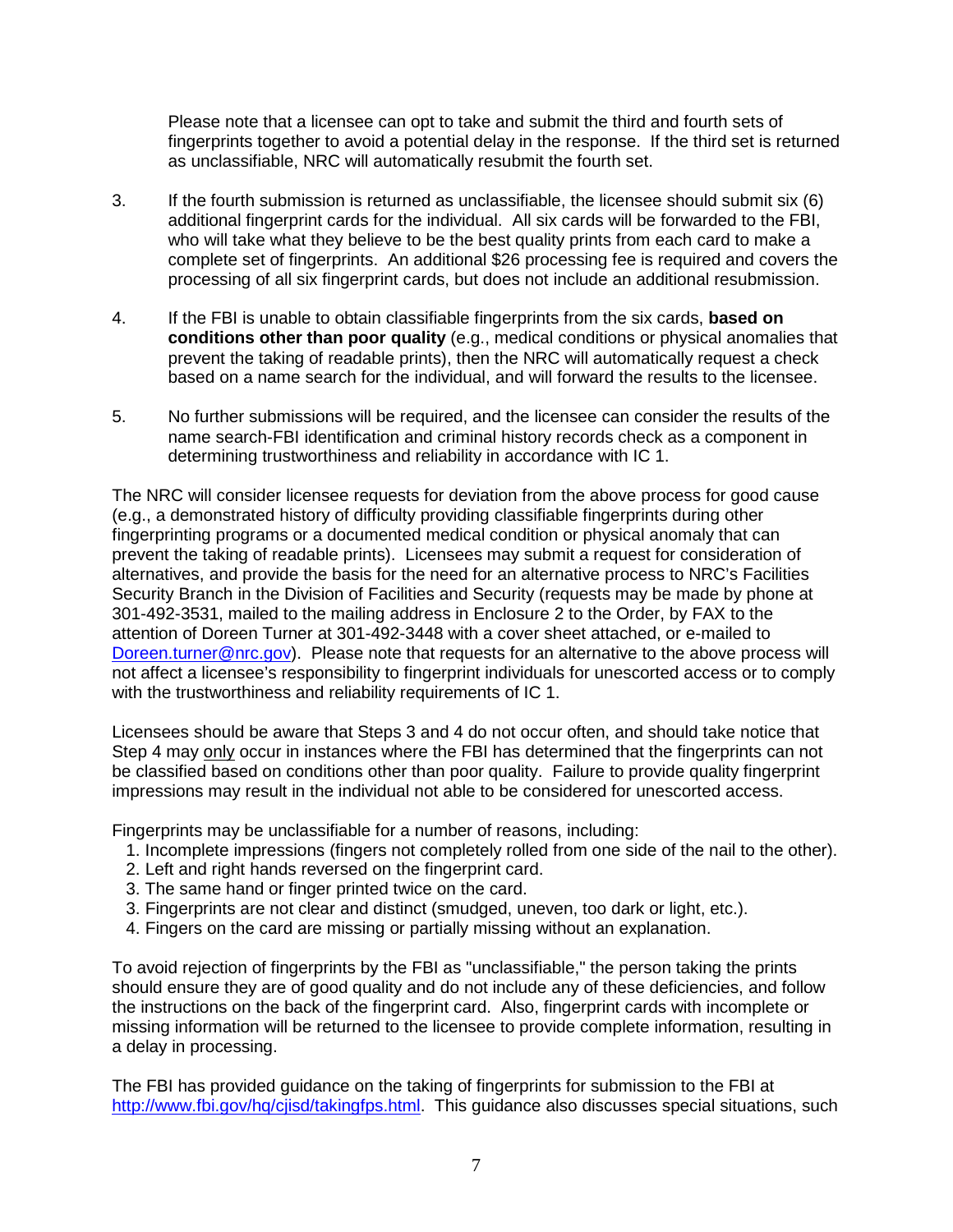Please note that a licensee can opt to take and submit the third and fourth sets of fingerprints together to avoid a potential delay in the response. If the third set is returned as unclassifiable, NRC will automatically resubmit the fourth set.

- 3. If the fourth submission is returned as unclassifiable, the licensee should submit six (6) additional fingerprint cards for the individual. All six cards will be forwarded to the FBI, who will take what they believe to be the best quality prints from each card to make a complete set of fingerprints. An additional \$26 processing fee is required and covers the processing of all six fingerprint cards, but does not include an additional resubmission.
- 4. If the FBI is unable to obtain classifiable fingerprints from the six cards, **based on conditions other than poor quality** (e.g., medical conditions or physical anomalies that prevent the taking of readable prints), then the NRC will automatically request a check based on a name search for the individual, and will forward the results to the licensee.
- 5. No further submissions will be required, and the licensee can consider the results of the name search-FBI identification and criminal history records check as a component in determining trustworthiness and reliability in accordance with IC 1.

The NRC will consider licensee requests for deviation from the above process for good cause (e.g., a demonstrated history of difficulty providing classifiable fingerprints during other fingerprinting programs or a documented medical condition or physical anomaly that can prevent the taking of readable prints). Licensees may submit a request for consideration of alternatives, and provide the basis for the need for an alternative process to NRC's Facilities Security Branch in the Division of Facilities and Security (requests may be made by phone at 301-492-3531, mailed to the mailing address in Enclosure 2 to the Order, by FAX to the attention of Doreen Turner at 301-492-3448 with a cover sheet attached, or e-mailed to [Doreen.turner@nrc.gov\)](mailto:Doreen.turner@nrc.gov). Please note that requests for an alternative to the above process will not affect a licensee's responsibility to fingerprint individuals for unescorted access or to comply with the trustworthiness and reliability requirements of IC 1.

Licensees should be aware that Steps 3 and 4 do not occur often, and should take notice that Step 4 may only occur in instances where the FBI has determined that the fingerprints can not be classified based on conditions other than poor quality. Failure to provide quality fingerprint impressions may result in the individual not able to be considered for unescorted access.

Fingerprints may be unclassifiable for a number of reasons, including:

- 1. Incomplete impressions (fingers not completely rolled from one side of the nail to the other).
- 2. Left and right hands reversed on the fingerprint card.
- 3. The same hand or finger printed twice on the card.
- 3. Fingerprints are not clear and distinct (smudged, uneven, too dark or light, etc.).
- 4. Fingers on the card are missing or partially missing without an explanation.

To avoid rejection of fingerprints by the FBI as "unclassifiable," the person taking the prints should ensure they are of good quality and do not include any of these deficiencies, and follow the instructions on the back of the fingerprint card. Also, fingerprint cards with incomplete or missing information will be returned to the licensee to provide complete information, resulting in a delay in processing.

The FBI has provided guidance on the taking of fingerprints for submission to the FBI at [http://www.fbi.gov/hq/cjisd/takingfps.html.](http://www.fbi.gov/hq/cjisd/takingfps.html) This guidance also discusses special situations, such